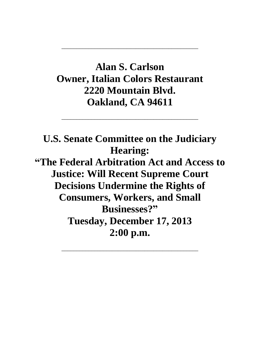## **Alan S. Carlson Owner, Italian Colors Restaurant 2220 Mountain Blvd. Oakland, CA 94611**

\_\_\_\_\_\_\_\_\_\_\_\_\_\_\_\_\_\_\_\_\_\_\_\_\_\_\_\_\_\_\_\_\_\_\_\_\_\_\_\_\_\_\_\_\_\_

\_\_\_\_\_\_\_\_\_\_\_\_\_\_\_\_\_\_\_\_\_\_\_\_\_\_\_\_\_\_\_\_\_\_\_\_\_\_\_\_\_\_\_\_\_\_

**U.S. Senate Committee on the Judiciary Hearing: "The Federal Arbitration Act and Access to Justice: Will Recent Supreme Court Decisions Undermine the Rights of Consumers, Workers, and Small Businesses?" Tuesday, December 17, 2013 2:00 p.m.**

\_\_\_\_\_\_\_\_\_\_\_\_\_\_\_\_\_\_\_\_\_\_\_\_\_\_\_\_\_\_\_\_\_\_\_\_\_\_\_\_\_\_\_\_\_\_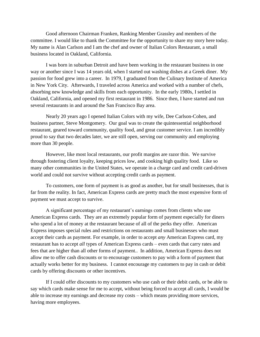Good afternoon Chairman Franken, Ranking Member Grassley and members of the committee. I would like to thank the Committee for the opportunity to share my story here today. My name is Alan Carlson and I am the chef and owner of Italian Colors Restaurant, a small business located in Oakland, California.

I was born in suburban Detroit and have been working in the restaurant business in one way or another since I was 14 years old, when I started out washing dishes at a Greek diner. My passion for food grew into a career. In 1979, I graduated from the Culinary Institute of America in New York City. Afterwards, I traveled across America and worked with a number of chefs, absorbing new knowledge and skills from each opportunity. In the early 1980s, I settled in Oakland, California, and opened my first restaurant in 1986. Since then, I have started and run several restaurants in and around the San Francisco Bay area.

Nearly 20 years ago I opened Italian Colors with my wife, Dee Carlson-Cohen, and business partner, Steve Montgomery. Our goal was to create the quintessential neighborhood restaurant, geared toward community, quality food, and great customer service. I am incredibly proud to say that two decades later, we are still open, serving our community and employing more than 30 people.

However, like most local restaurants, our profit margins are razor thin. We survive through fostering client loyalty, keeping prices low, and cooking high quality food. Like so many other communities in the United States, we operate in a charge card and credit card-driven world and could not survive without accepting credit cards as payment.

To customers, one form of payment is as good as another, but for small businesses, that is far from the reality. In fact, American Express cards are pretty much the most expensive form of payment we must accept to survive.

A significant percentage of my restaurant's earnings comes from clients who use American Express cards. They are an extremely popular form of payment especially for diners who spend a lot of money at the restaurant because of all of the perks they offer. American Express imposes special rules and restrictions on restaurants and small businesses who must accept their cards as payment. For example, in order to accept *any* American Express card, my restaurant has to accept *all* types of American Express cards – even cards that carry rates and fees that are higher than all other forms of payment.. In addition, American Express does not allow me to offer cash discounts or to encourage customers to pay with a form of payment that actually works better for my business. I cannot encourage my customers to pay in cash or debit cards by offering discounts or other incentives.

If I could offer discounts to my customers who use cash or their debit cards, or be able to say which cards make sense for me to accept, without being forced to accept all cards, I would be able to increase my earnings and decrease my costs – which means providing more services, having more employees.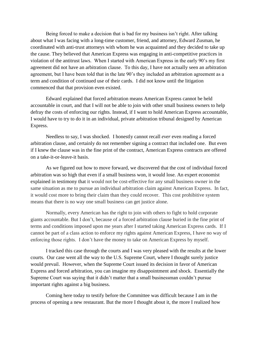Being forced to make a decision that is bad for my business isn't right. After talking about what I was facing with a long-time customer, friend, and attorney, Edward Zusman, he coordinated with anti-trust attorneys with whom he was acquainted and they decided to take up the cause. They believed that American Express was engaging in anti-competitive practices in violation of the antitrust laws. When I started with American Express in the early 90's my first agreement did not have an arbitration clause. To this day, I have not actually seen an arbitration agreement, but I have been told that in the late 90's they included an arbitration agreement as a term and condition of continued use of their cards. I did not know until the litigation commenced that that provision even existed.

Edward explained that forced arbitration means American Express cannot be held accountable in court, and that I will not be able to join with other small business owners to help defray the costs of enforcing our rights. Instead, if I want to hold American Express accountable, I would have to try to do it in an individual, private arbitration tribunal designed by American Express.

Needless to say, I was shocked. I honestly cannot recall *ever* even reading a forced arbitration clause, and certainly do not remember signing a contract that included one. But even if I knew the clause was in the fine print of the contract, American Express contracts are offered on a take-it-or-leave-it basis.

As we figured out how to move forward, we discovered that the cost of individual forced arbitration was so high that even if a small business won, it would lose. An expert economist explained in testimony that it would not be cost-effective for any small business owner in the same situation as me to pursue an individual arbitration claim against American Express. In fact, it would cost more to bring their claim than they could recover. This cost prohibitive system means that there is no way one small business can get justice alone.

Normally, every American has the right to join with others to fight to hold corporate giants accountable. But I don't, because of a forced arbitration clause buried in the fine print of terms and conditions imposed upon me years after I started taking American Express cards. If I cannot be part of a class action to enforce my rights against American Express, I have no way of enforcing those rights. I don't have the money to take on American Express by myself.

I tracked this case through the courts and I was very pleased with the results at the lower courts. Our case went all the way to the U.S. Supreme Court, where I thought surely justice would prevail. However, when the Supreme Court issued its decision in favor of American Express and forced arbitration, you can imagine my disappointment and shock. Essentially the Supreme Court was saying that it didn't matter that a small businessman couldn't pursue important rights against a big business.

Coming here today to testify before the Committee was difficult because I am in the process of opening a new restaurant. But the more I thought about it, the more I realized how